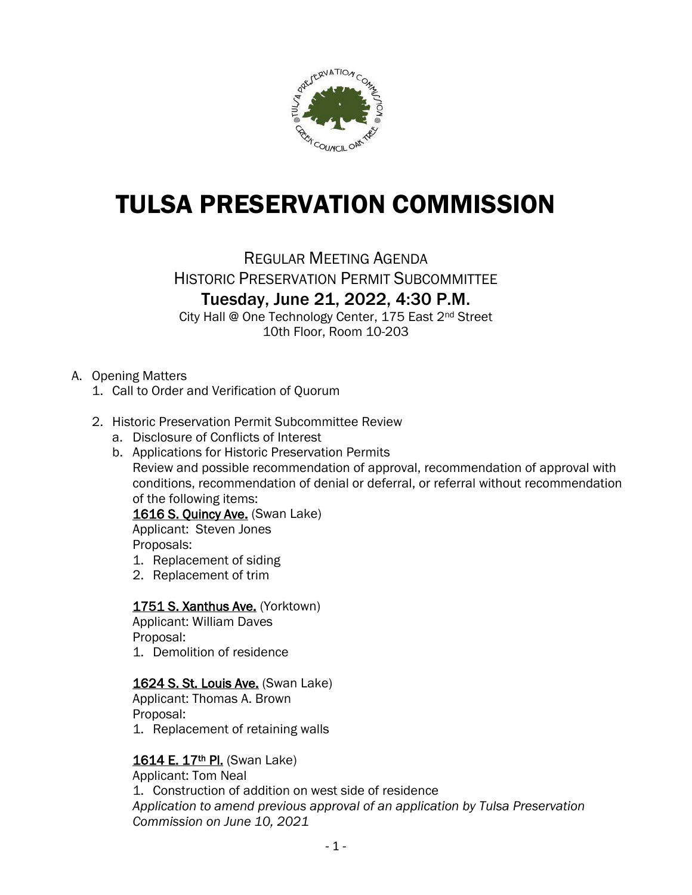

# TULSA PRESERVATION COMMISSION

REGULAR MEETING AGENDA HISTORIC PRESERVATION PERMIT SUBCOMMITTEE Tuesday, June 21, 2022, 4:30 P.M.

City Hall @ One Technology Center, 175 East 2nd Street 10th Floor, Room 10-203

# A. Opening Matters

- 1. Call to Order and Verification of Quorum
- 2. Historic Preservation Permit Subcommittee Review
	- a. Disclosure of Conflicts of Interest
	- b. Applications for Historic Preservation Permits Review and possible recommendation of approval, recommendation of approval with conditions, recommendation of denial or deferral, or referral without recommendation of the following items:

1616 S. Quincy Ave. (Swan Lake)

Applicant: Steven Jones Proposals:

- 1. Replacement of siding
- 2. Replacement of trim

# 1751 S. Xanthus Ave. (Yorktown)

Applicant: William Daves Proposal:

1. Demolition of residence

#### 1624 S. St. Louis Ave. (Swan Lake)

Applicant: Thomas A. Brown Proposal:

1. Replacement of retaining walls

# 1614 E. 17<sup>th</sup> Pl. (Swan Lake)

Applicant: Tom Neal

1. Construction of addition on west side of residence *Application to amend previous approval of an application by Tulsa Preservation Commission on June 10, 2021*